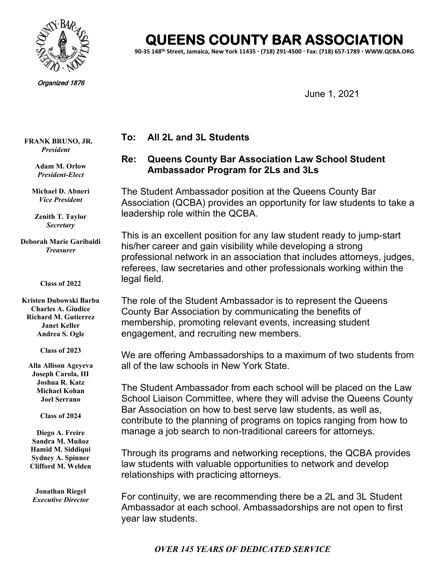

Organized 1876

# **IEENS COUNTY BAR ASSOCIATION**

**90-35 148th Street, Jamaica, New York 11435 (718) 291-4500 Fax: (718) 657-1789 WWW.QCBA.ORG**

June 1, 2021

### **To: All 2L and 3L Students**

## **Re: Queens County Bar Association Law School Student Ambassador Program for 2Ls and 3Ls**

The Student Ambassador position at the Queens County Bar Association (QCBA) provides an opportunity for law students to take a leadership role within the QCBA.

This is an excellent position for any law student ready to jump-start his/her career and gain visibility while developing a strong professional network in an association that includes attorneys, judges, referees, law secretaries and other professionals working within the legal field.

The role of the Student Ambassador is to represent the Queens County Bar Association by communicating the benefits of membership, promoting relevant events, increasing student engagement, and recruiting new members.

We are offering Ambassadorships to a maximum of two students from all of the law schools in New York State.

The Student Ambassador from each school will be placed on the Law School Liaison Committee, where they will advise the Queens County Bar Association on how to best serve law students, as well as, contribute to the planning of programs on topics ranging from how to manage a job search to non-traditional careers for attorneys.

Through its programs and networking receptions, the QCBA provides law students with valuable opportunities to network and develop relationships with practicing attorneys.

For continuity, we are recommending there be a 2L and 3L Student Ambassador at each school. Ambassadorships are not open to first year law students.

**FRANK BRUNO, JR.** *President*

> **Adam M. Orlow** *President-Elect*

**Michael D. Abneri** *Vice President*

**Zenith T. Taylor** *Secretary*

**Deborah Marie Garibaldi** *Treasurer*

#### **Class of 2022**

**Kristen Dubowski Barba Charles A. Giudice Richard M. Gutierrez Janet Keller Andrea S. Ogle**

**Class of 2023**

**Alla Allison Ageyeva Joseph Carola, III Joshua R. Katz Michael Kohan Joel Serrano**

**Class of 2024**

**Diego A. Freire Sandra M. Muñoz Hamid M. Siddiqui Sydney A. Spinner Clifford M. Welden**

**Jonathan Riegel** *Executive Director*